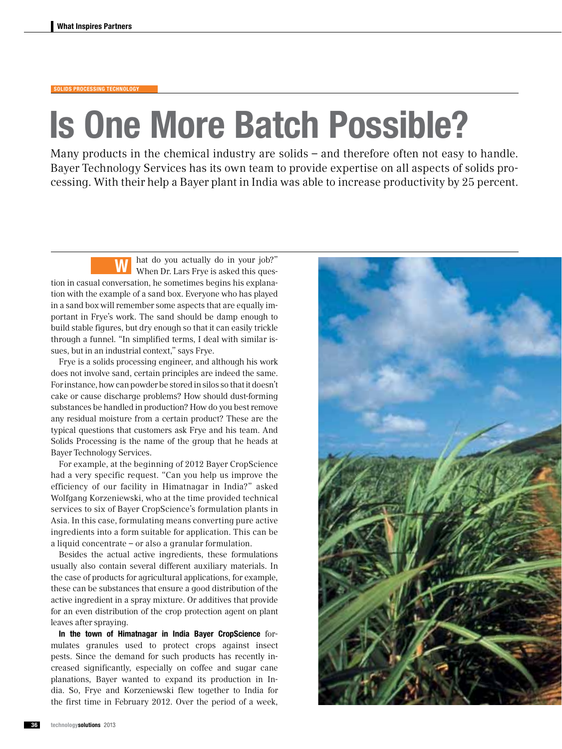## solids processing technology

## Is One More Batch Possible?

Many products in the chemical industry are solids – and therefore often not easy to handle. Bayer Technology Services has its own team to provide expertise on all aspects of solids processing. With their help a Bayer plant in India was able to increase productivity by 25 percent.

hat do you actually do in your job?" When Dr. Lars Frye is asked this question in casual conversation, he sometimes begins his explanation with the example of a sand box. Everyone who has played in a sand box will remember some aspects that are equally important in Frye's work. The sand should be damp enough to build stable figures, but dry enough so that it can easily trickle through a funnel. "In simplified terms, I deal with similar issues, but in an industrial context," says Frye. W

Frye is a solids processing engineer, and although his work does not involve sand, certain principles are indeed the same. For instance, how can powder be stored in silos so that it doesn't cake or cause discharge problems? How should dust-forming substances be handled in production? How do you best remove any residual moisture from a certain product? These are the typical questions that customers ask Frye and his team. And Solids Processing is the name of the group that he heads at Bayer Technology Services.

For example, at the beginning of 2012 Bayer CropScience had a very specific request. "Can you help us improve the efficiency of our facility in Himatnagar in India?" asked Wolfgang Korzeniewski, who at the time provided technical services to six of Bayer CropScience's formulation plants in Asia. In this case, formulating means converting pure active ingredients into a form suitable for application. This can be a liquid concentrate – or also a granular formulation.

Besides the actual active ingredients, these formulations usually also contain several different auxiliary materials. In the case of products for agricultural applications, for example, these can be substances that ensure a good distribution of the active ingredient in a spray mixture. Or additives that provide for an even distribution of the crop protection agent on plant leaves after spraying.

In the town of Himatnagar in India Bayer CropScience formulates granules used to protect crops against insect pests. Since the demand for such products has recently increased significantly, especially on coffee and sugar cane planations, Bayer wanted to expand its production in India. So, Frye and Korzeniewski flew together to India for the first time in February 2012. Over the period of a week,

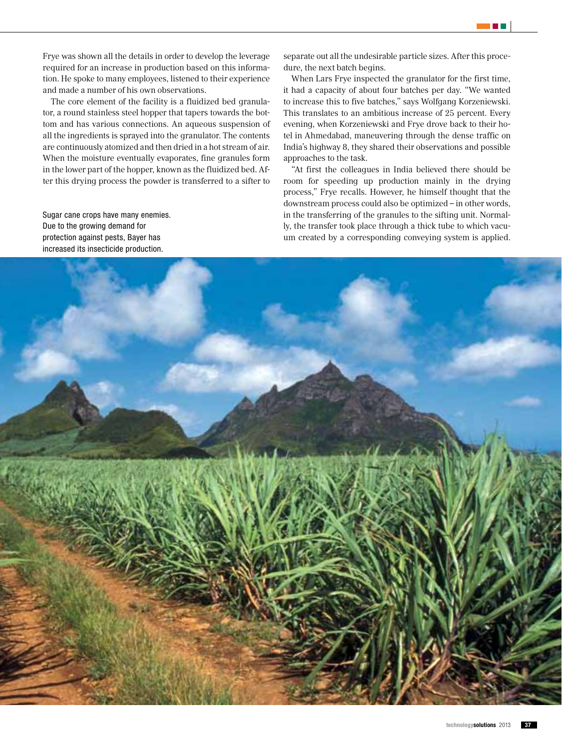Frye was shown all the details in order to develop the leverage required for an increase in production based on this information. He spoke to many employees, listened to their experience and made a number of his own observations.

The core element of the facility is a fluidized bed granulator, a round stainless steel hopper that tapers towards the bottom and has various connections. An aqueous suspension of all the ingredients is sprayed into the granulator. The contents are continuously atomized and then dried in a hot stream of air. When the moisture eventually evaporates, fine granules form in the lower part of the hopper, known as the fluidized bed. After this drying process the powder is transferred to a sifter to

Sugar cane crops have many enemies. Due to the growing demand for protection against pests, Bayer has increased its insecticide production.

separate out all the undesirable particle sizes. After this procedure, the next batch begins.

When Lars Frye inspected the granulator for the first time, it had a capacity of about four batches per day. "We wanted to increase this to five batches," says Wolfgang Korzeniewski. This translates to an ambitious increase of 25 percent. Every evening, when Korzeniewski and Frye drove back to their hotel in Ahmedabad, maneuvering through the dense traffic on India's highway 8, they shared their observations and possible approaches to the task.

"At first the colleagues in India believed there should be room for speeding up production mainly in the drying process," Frye recalls. However, he himself thought that the downstream process could also be optimized – in other words, in the transferring of the granules to the sifting unit. Normally, the transfer took place through a thick tube to which vacuum created by a corresponding conveying system is applied.